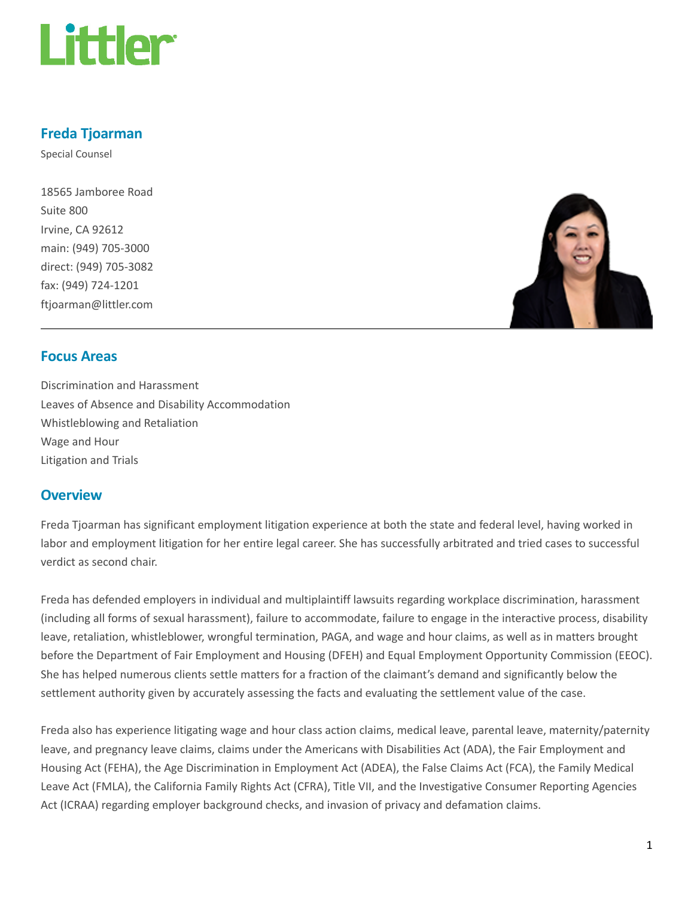

# Freda Tjoarman

Special Counsel

18565 Jamboree Road Suite 800 Irvine, CA 92612 main: (949) 705-3000 direct: (949) 705-3082 fax: (949) 724-1201 ftjoarman@littler.com



# Focus Areas

Discrimination and Harassment Leaves of Absence and Disability Accommodation Whistleblowing and Retaliation Wage and Hour Litigation and Trials

# **Overview**

Freda Tjoarman has significant employment litigation experience at both the state and federal level, having worked in labor and employment litigation for her entire legal career. She has successfully arbitrated and tried cases to successful verdict as second chair.

Freda has defended employers in individual and multiplaintiff lawsuits regarding workplace discrimination, harassment (including all forms of sexual harassment), failure to accommodate, failure to engage in the interactive process, disability leave, retaliation, whistleblower, wrongful termination, PAGA, and wage and hour claims, as well as in matters brought before the Department of Fair Employment and Housing (DFEH) and Equal Employment Opportunity Commission (EEOC). She has helped numerous clients settle matters for a fraction of the claimant's demand and significantly below the settlement authority given by accurately assessing the facts and evaluating the settlement value of the case.

Freda also has experience litigating wage and hour class action claims, medical leave, parental leave, maternity/paternity leave, and pregnancy leave claims, claims under the Americans with Disabilities Act (ADA), the Fair Employment and Housing Act (FEHA), the Age Discrimination in Employment Act (ADEA), the False Claims Act (FCA), the Family Medical Leave Act (FMLA), the California Family Rights Act (CFRA), Title VII, and the Investigative Consumer Reporting Agencies Act (ICRAA) regarding employer background checks, and invasion of privacy and defamation claims.